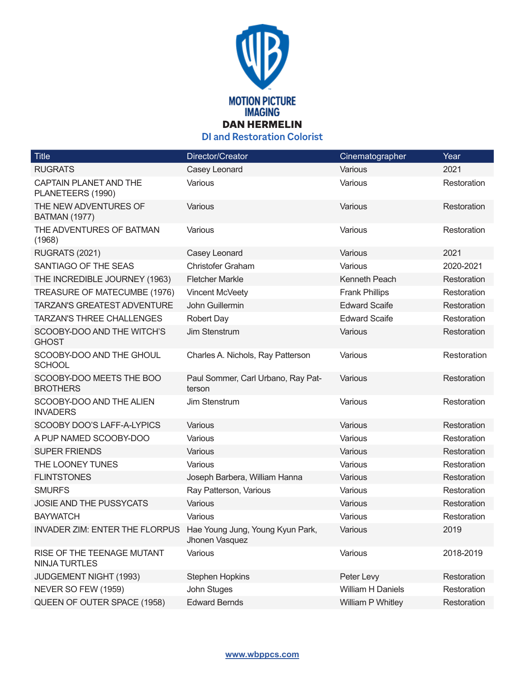

**DI and Restoration Colorist**

| <b>Title</b>                                  | Director/Creator                                   | Cinematographer          | Year        |
|-----------------------------------------------|----------------------------------------------------|--------------------------|-------------|
| <b>RUGRATS</b>                                | Casey Leonard                                      | Various                  | 2021        |
| CAPTAIN PLANET AND THE<br>PLANETEERS (1990)   | Various                                            | Various                  | Restoration |
| THE NEW ADVENTURES OF<br><b>BATMAN (1977)</b> | Various                                            | Various                  | Restoration |
| THE ADVENTURES OF BATMAN<br>(1968)            | Various                                            | Various                  | Restoration |
| <b>RUGRATS (2021)</b>                         | Casey Leonard                                      | Various                  | 2021        |
| SANTIAGO OF THE SEAS                          | <b>Christofer Graham</b>                           | Various                  | 2020-2021   |
| THE INCREDIBLE JOURNEY (1963)                 | <b>Fletcher Markle</b>                             | Kenneth Peach            | Restoration |
| TREASURE OF MATECUMBE (1976)                  | Vincent McVeety                                    | <b>Frank Phillips</b>    | Restoration |
| <b>TARZAN'S GREATEST ADVENTURE</b>            | John Guillermin                                    | <b>Edward Scaife</b>     | Restoration |
| <b>TARZAN'S THREE CHALLENGES</b>              | <b>Robert Day</b>                                  | <b>Edward Scaife</b>     | Restoration |
| SCOOBY-DOO AND THE WITCH'S<br><b>GHOST</b>    | Jim Stenstrum                                      | Various                  | Restoration |
| SCOOBY-DOO AND THE GHOUL<br><b>SCHOOL</b>     | Charles A. Nichols, Ray Patterson                  | Various                  | Restoration |
| SCOOBY-DOO MEETS THE BOO<br><b>BROTHERS</b>   | Paul Sommer, Carl Urbano, Ray Pat-<br>terson       | Various                  | Restoration |
| SCOOBY-DOO AND THE ALIEN<br><b>INVADERS</b>   | Jim Stenstrum                                      | Various                  | Restoration |
| SCOOBY DOO'S LAFF-A-LYPICS                    | Various                                            | Various                  | Restoration |
| A PUP NAMED SCOOBY-DOO                        | Various                                            | Various                  | Restoration |
| <b>SUPER FRIENDS</b>                          | Various                                            | Various                  | Restoration |
| THE LOONEY TUNES                              | Various                                            | Various                  | Restoration |
| <b>FLINTSTONES</b>                            | Joseph Barbera, William Hanna                      | Various                  | Restoration |
| <b>SMURFS</b>                                 | Ray Patterson, Various                             | Various                  | Restoration |
| JOSIE AND THE PUSSYCATS                       | Various                                            | Various                  | Restoration |
| <b>BAYWATCH</b>                               | Various                                            | Various                  | Restoration |
| <b>INVADER ZIM: ENTER THE FLORPUS</b>         | Hae Young Jung, Young Kyun Park,<br>Jhonen Vasquez | Various                  | 2019        |
| RISE OF THE TEENAGE MUTANT<br>NINJA TURTLES   | Various                                            | Various                  | 2018-2019   |
| JUDGEMENT NIGHT (1993)                        | <b>Stephen Hopkins</b>                             | Peter Levy               | Restoration |
| NEVER SO FEW (1959)                           | John Stuges                                        | <b>William H Daniels</b> | Restoration |
| QUEEN OF OUTER SPACE (1958)                   | <b>Edward Bernds</b>                               | William P Whitley        | Restoration |